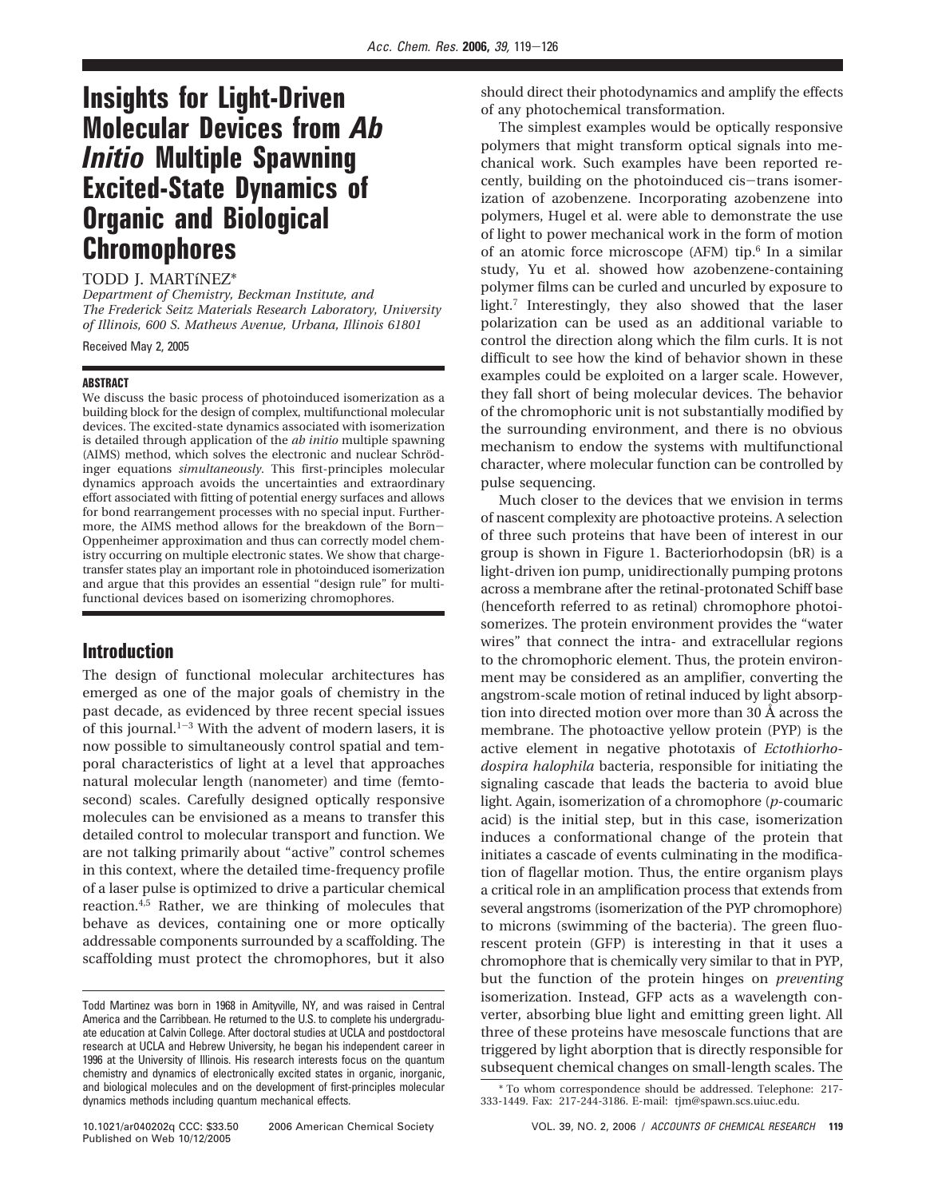## **Insights for Light-Driven Molecular Devices from** *Ab Initio* **Multiple Spawning Excited-State Dynamics of Organic and Biological Chromophores**

### TODD J. MARTı´NEZ\*

*Department of Chemistry, Beckman Institute, and The Frederick Seitz Materials Research Laboratory, University of Illinois, 600 S. Mathews Avenue, Urbana, Illinois 61801*

Received May 2, 2005

#### **ABSTRACT**

We discuss the basic process of photoinduced isomerization as a building block for the design of complex, multifunctional molecular devices. The excited-state dynamics associated with isomerization is detailed through application of the *ab initio* multiple spawning (AIMS) method, which solves the electronic and nuclear Schrödinger equations *simultaneously*. This first-principles molecular dynamics approach avoids the uncertainties and extraordinary effort associated with fitting of potential energy surfaces and allows for bond rearrangement processes with no special input. Furthermore, the AIMS method allows for the breakdown of the Born-Oppenheimer approximation and thus can correctly model chemistry occurring on multiple electronic states. We show that chargetransfer states play an important role in photoinduced isomerization and argue that this provides an essential "design rule" for multifunctional devices based on isomerizing chromophores.

### **Introduction**

The design of functional molecular architectures has emerged as one of the major goals of chemistry in the past decade, as evidenced by three recent special issues of this journal. $1-3$  With the advent of modern lasers, it is now possible to simultaneously control spatial and temporal characteristics of light at a level that approaches natural molecular length (nanometer) and time (femtosecond) scales. Carefully designed optically responsive molecules can be envisioned as a means to transfer this detailed control to molecular transport and function. We are not talking primarily about "active" control schemes in this context, where the detailed time-frequency profile of a laser pulse is optimized to drive a particular chemical reaction.4,5 Rather, we are thinking of molecules that behave as devices, containing one or more optically addressable components surrounded by a scaffolding. The scaffolding must protect the chromophores, but it also

should direct their photodynamics and amplify the effects of any photochemical transformation.

The simplest examples would be optically responsive polymers that might transform optical signals into mechanical work. Such examples have been reported recently, building on the photoinduced cis-trans isomerization of azobenzene. Incorporating azobenzene into polymers, Hugel et al. were able to demonstrate the use of light to power mechanical work in the form of motion of an atomic force microscope  $(AFM)$  tip.<sup>6</sup> In a similar study, Yu et al. showed how azobenzene-containing polymer films can be curled and uncurled by exposure to light.7 Interestingly, they also showed that the laser polarization can be used as an additional variable to control the direction along which the film curls. It is not difficult to see how the kind of behavior shown in these examples could be exploited on a larger scale. However, they fall short of being molecular devices. The behavior of the chromophoric unit is not substantially modified by the surrounding environment, and there is no obvious mechanism to endow the systems with multifunctional character, where molecular function can be controlled by pulse sequencing.

Much closer to the devices that we envision in terms of nascent complexity are photoactive proteins. A selection of three such proteins that have been of interest in our group is shown in Figure 1. Bacteriorhodopsin (bR) is a light-driven ion pump, unidirectionally pumping protons across a membrane after the retinal-protonated Schiff base (henceforth referred to as retinal) chromophore photoisomerizes. The protein environment provides the "water wires" that connect the intra- and extracellular regions to the chromophoric element. Thus, the protein environment may be considered as an amplifier, converting the angstrom-scale motion of retinal induced by light absorption into directed motion over more than 30 Å across the membrane. The photoactive yellow protein (PYP) is the active element in negative phototaxis of *Ectothiorhodospira halophila* bacteria, responsible for initiating the signaling cascade that leads the bacteria to avoid blue light. Again, isomerization of a chromophore (*p*-coumaric acid) is the initial step, but in this case, isomerization induces a conformational change of the protein that initiates a cascade of events culminating in the modification of flagellar motion. Thus, the entire organism plays a critical role in an amplification process that extends from several angstroms (isomerization of the PYP chromophore) to microns (swimming of the bacteria). The green fluorescent protein (GFP) is interesting in that it uses a chromophore that is chemically very similar to that in PYP, but the function of the protein hinges on *preventing* isomerization. Instead, GFP acts as a wavelength converter, absorbing blue light and emitting green light. All three of these proteins have mesoscale functions that are triggered by light aborption that is directly responsible for subsequent chemical changes on small-length scales. The

Todd Martinez was born in 1968 in Amityville, NY, and was raised in Central America and the Carribbean. He returned to the U.S. to complete his undergraduate education at Calvin College. After doctoral studies at UCLA and postdoctoral research at UCLA and Hebrew University, he began his independent career in 1996 at the University of Illinois. His research interests focus on the quantum chemistry and dynamics of electronically excited states in organic, inorganic, and biological molecules and on the development of first-principles molecular dynamics methods including quantum mechanical effects.

<sup>\*</sup> To whom correspondence should be addressed. Telephone: 217- 333-1449. Fax: 217-244-3186. E-mail: tjm@spawn.scs.uiuc.edu.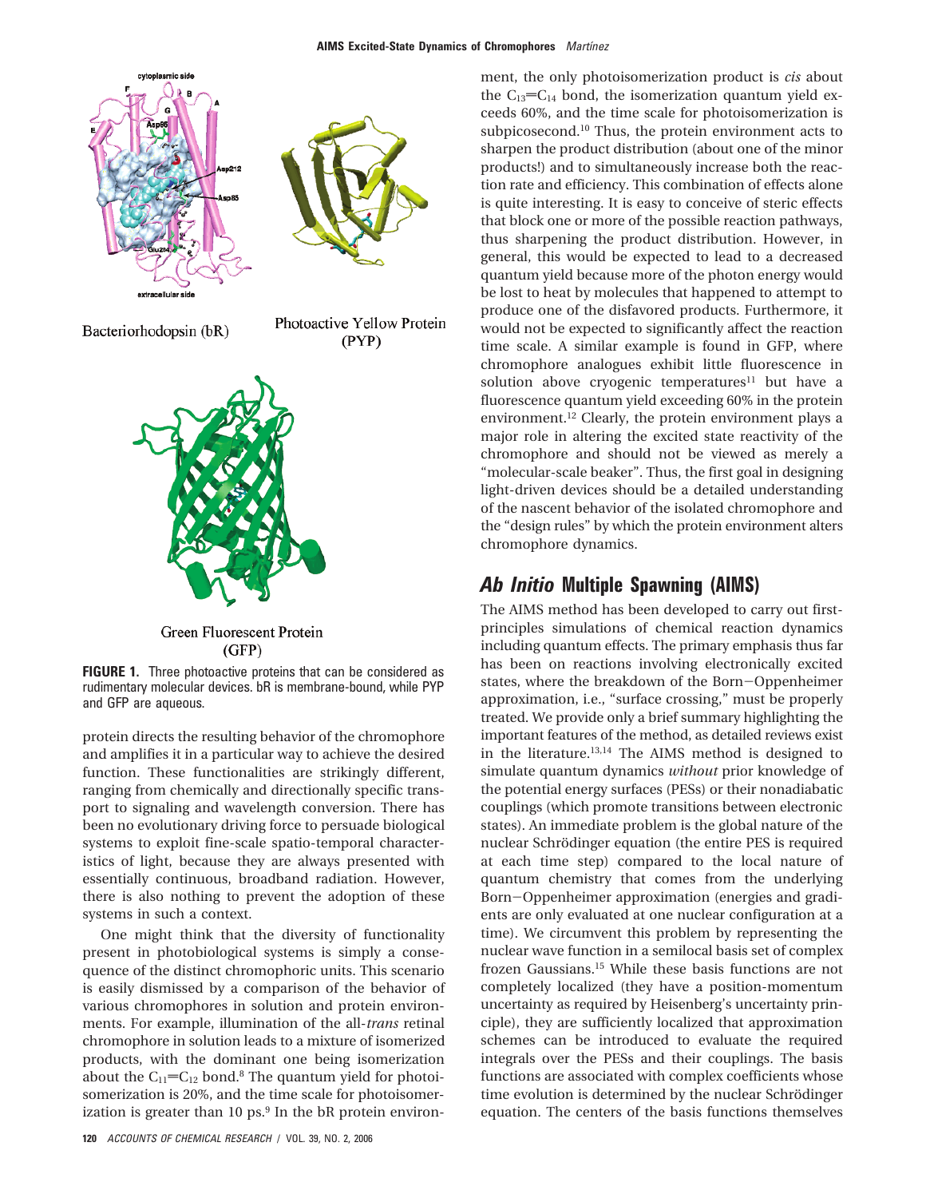

Green Fluorescent Protein  $(GFP)$ 

**FIGURE 1.** Three photoactive proteins that can be considered as rudimentary molecular devices. bR is membrane-bound, while PYP and GFP are aqueous.

protein directs the resulting behavior of the chromophore and amplifies it in a particular way to achieve the desired function. These functionalities are strikingly different, ranging from chemically and directionally specific transport to signaling and wavelength conversion. There has been no evolutionary driving force to persuade biological systems to exploit fine-scale spatio-temporal characteristics of light, because they are always presented with essentially continuous, broadband radiation. However, there is also nothing to prevent the adoption of these systems in such a context.

One might think that the diversity of functionality present in photobiological systems is simply a consequence of the distinct chromophoric units. This scenario is easily dismissed by a comparison of the behavior of various chromophores in solution and protein environments. For example, illumination of the all-*trans* retinal chromophore in solution leads to a mixture of isomerized products, with the dominant one being isomerization about the  $C_{11}$ = $C_{12}$  bond.<sup>8</sup> The quantum yield for photoisomerization is 20%, and the time scale for photoisomerization is greater than  $10 \text{ ps.}^9$  In the bR protein environment, the only photoisomerization product is *cis* about the  $C_{13}$ = $C_{14}$  bond, the isomerization quantum yield exceeds 60%, and the time scale for photoisomerization is subpicosecond.10 Thus, the protein environment acts to sharpen the product distribution (about one of the minor products!) and to simultaneously increase both the reaction rate and efficiency. This combination of effects alone is quite interesting. It is easy to conceive of steric effects that block one or more of the possible reaction pathways, thus sharpening the product distribution. However, in general, this would be expected to lead to a decreased quantum yield because more of the photon energy would be lost to heat by molecules that happened to attempt to produce one of the disfavored products. Furthermore, it would not be expected to significantly affect the reaction time scale. A similar example is found in GFP, where chromophore analogues exhibit little fluorescence in solution above cryogenic temperatures<sup>11</sup> but have a fluorescence quantum yield exceeding 60% in the protein environment.12 Clearly, the protein environment plays a major role in altering the excited state reactivity of the chromophore and should not be viewed as merely a "molecular-scale beaker". Thus, the first goal in designing light-driven devices should be a detailed understanding of the nascent behavior of the isolated chromophore and the "design rules" by which the protein environment alters chromophore dynamics.

## *Ab Initio* **Multiple Spawning (AIMS)**

The AIMS method has been developed to carry out firstprinciples simulations of chemical reaction dynamics including quantum effects. The primary emphasis thus far has been on reactions involving electronically excited states, where the breakdown of the Born-Oppenheimer approximation, i.e., "surface crossing," must be properly treated. We provide only a brief summary highlighting the important features of the method, as detailed reviews exist in the literature.13,14 The AIMS method is designed to simulate quantum dynamics *without* prior knowledge of the potential energy surfaces (PESs) or their nonadiabatic couplings (which promote transitions between electronic states). An immediate problem is the global nature of the nuclear Schrödinger equation (the entire PES is required at each time step) compared to the local nature of quantum chemistry that comes from the underlying Born-Oppenheimer approximation (energies and gradients are only evaluated at one nuclear configuration at a time). We circumvent this problem by representing the nuclear wave function in a semilocal basis set of complex frozen Gaussians.15 While these basis functions are not completely localized (they have a position-momentum uncertainty as required by Heisenberg's uncertainty principle), they are sufficiently localized that approximation schemes can be introduced to evaluate the required integrals over the PESs and their couplings. The basis functions are associated with complex coefficients whose time evolution is determined by the nuclear Schrödinger equation. The centers of the basis functions themselves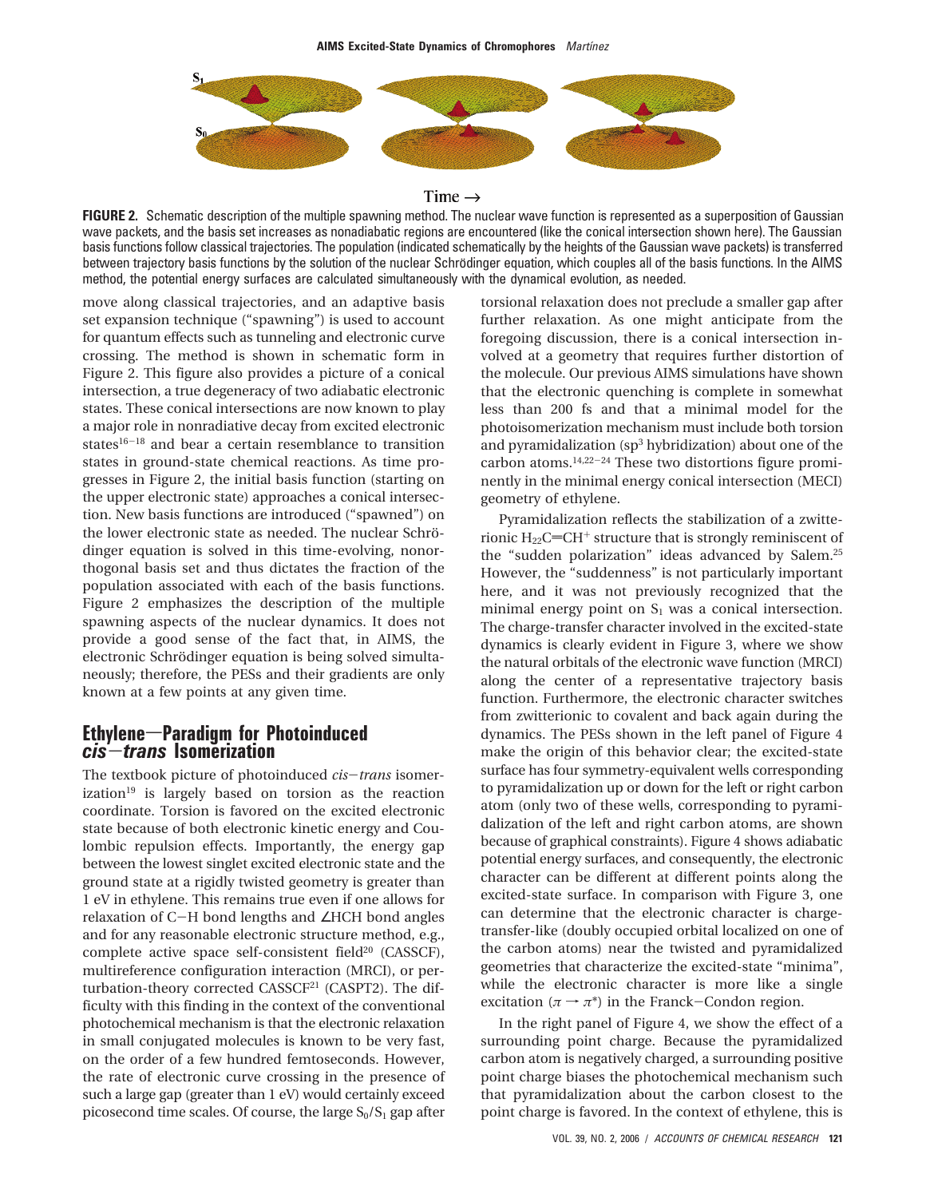

#### Time  $\rightarrow$

**FIGURE 2.** Schematic description of the multiple spawning method. The nuclear wave function is represented as a superposition of Gaussian wave packets, and the basis set increases as nonadiabatic regions are encountered (like the conical intersection shown here). The Gaussian basis functions follow classical trajectories. The population (indicated schematically by the heights of the Gaussian wave packets) is transferred between trajectory basis functions by the solution of the nuclear Schrödinger equation, which couples all of the basis functions. In the AIMS method, the potential energy surfaces are calculated simultaneously with the dynamical evolution, as needed.

move along classical trajectories, and an adaptive basis set expansion technique ("spawning") is used to account for quantum effects such as tunneling and electronic curve crossing. The method is shown in schematic form in Figure 2. This figure also provides a picture of a conical intersection, a true degeneracy of two adiabatic electronic states. These conical intersections are now known to play a major role in nonradiative decay from excited electronic states<sup>16-18</sup> and bear a certain resemblance to transition states in ground-state chemical reactions. As time progresses in Figure 2, the initial basis function (starting on the upper electronic state) approaches a conical intersection. New basis functions are introduced ("spawned") on the lower electronic state as needed. The nuclear Schrödinger equation is solved in this time-evolving, nonorthogonal basis set and thus dictates the fraction of the population associated with each of the basis functions. Figure 2 emphasizes the description of the multiple spawning aspects of the nuclear dynamics. It does not provide a good sense of the fact that, in AIMS, the electronic Schrödinger equation is being solved simultaneously; therefore, the PESs and their gradients are only known at a few points at any given time.

## **Ethylene**s**Paradigm for Photoinduced** *cis*-*trans* **Isomerization**

The textbook picture of photoinduced *cis*-*trans* isomerization $19$  is largely based on torsion as the reaction coordinate. Torsion is favored on the excited electronic state because of both electronic kinetic energy and Coulombic repulsion effects. Importantly, the energy gap between the lowest singlet excited electronic state and the ground state at a rigidly twisted geometry is greater than 1 eV in ethylene. This remains true even if one allows for relaxation of C-H bond lengths and <sup>∠</sup>HCH bond angles and for any reasonable electronic structure method, e.g., complete active space self-consistent field<sup>20</sup> (CASSCF), multireference configuration interaction (MRCI), or perturbation-theory corrected CASSCF<sup>21</sup> (CASPT2). The difficulty with this finding in the context of the conventional photochemical mechanism is that the electronic relaxation in small conjugated molecules is known to be very fast, on the order of a few hundred femtoseconds. However, the rate of electronic curve crossing in the presence of such a large gap (greater than 1 eV) would certainly exceed picosecond time scales. Of course, the large  $S_0/S_1$  gap after

torsional relaxation does not preclude a smaller gap after further relaxation. As one might anticipate from the foregoing discussion, there is a conical intersection involved at a geometry that requires further distortion of the molecule. Our previous AIMS simulations have shown that the electronic quenching is complete in somewhat less than 200 fs and that a minimal model for the photoisomerization mechanism must include both torsion and pyramidalization (sp3 hybridization) about one of the carbon atoms.14,22-<sup>24</sup> These two distortions figure prominently in the minimal energy conical intersection (MECI) geometry of ethylene.

Pyramidalization reflects the stabilization of a zwitterionic  $H_{22}C=CH^+$  structure that is strongly reminiscent of the "sudden polarization" ideas advanced by Salem.25 However, the "suddenness" is not particularly important here, and it was not previously recognized that the minimal energy point on  $S_1$  was a conical intersection. The charge-transfer character involved in the excited-state dynamics is clearly evident in Figure 3, where we show the natural orbitals of the electronic wave function (MRCI) along the center of a representative trajectory basis function. Furthermore, the electronic character switches from zwitterionic to covalent and back again during the dynamics. The PESs shown in the left panel of Figure 4 make the origin of this behavior clear; the excited-state surface has four symmetry-equivalent wells corresponding to pyramidalization up or down for the left or right carbon atom (only two of these wells, corresponding to pyramidalization of the left and right carbon atoms, are shown because of graphical constraints). Figure 4 shows adiabatic potential energy surfaces, and consequently, the electronic character can be different at different points along the excited-state surface. In comparison with Figure 3, one can determine that the electronic character is chargetransfer-like (doubly occupied orbital localized on one of the carbon atoms) near the twisted and pyramidalized geometries that characterize the excited-state "minima", while the electronic character is more like a single excitation ( $\pi \rightarrow \pi^*$ ) in the Franck-Condon region.

In the right panel of Figure 4, we show the effect of a surrounding point charge. Because the pyramidalized carbon atom is negatively charged, a surrounding positive point charge biases the photochemical mechanism such that pyramidalization about the carbon closest to the point charge is favored. In the context of ethylene, this is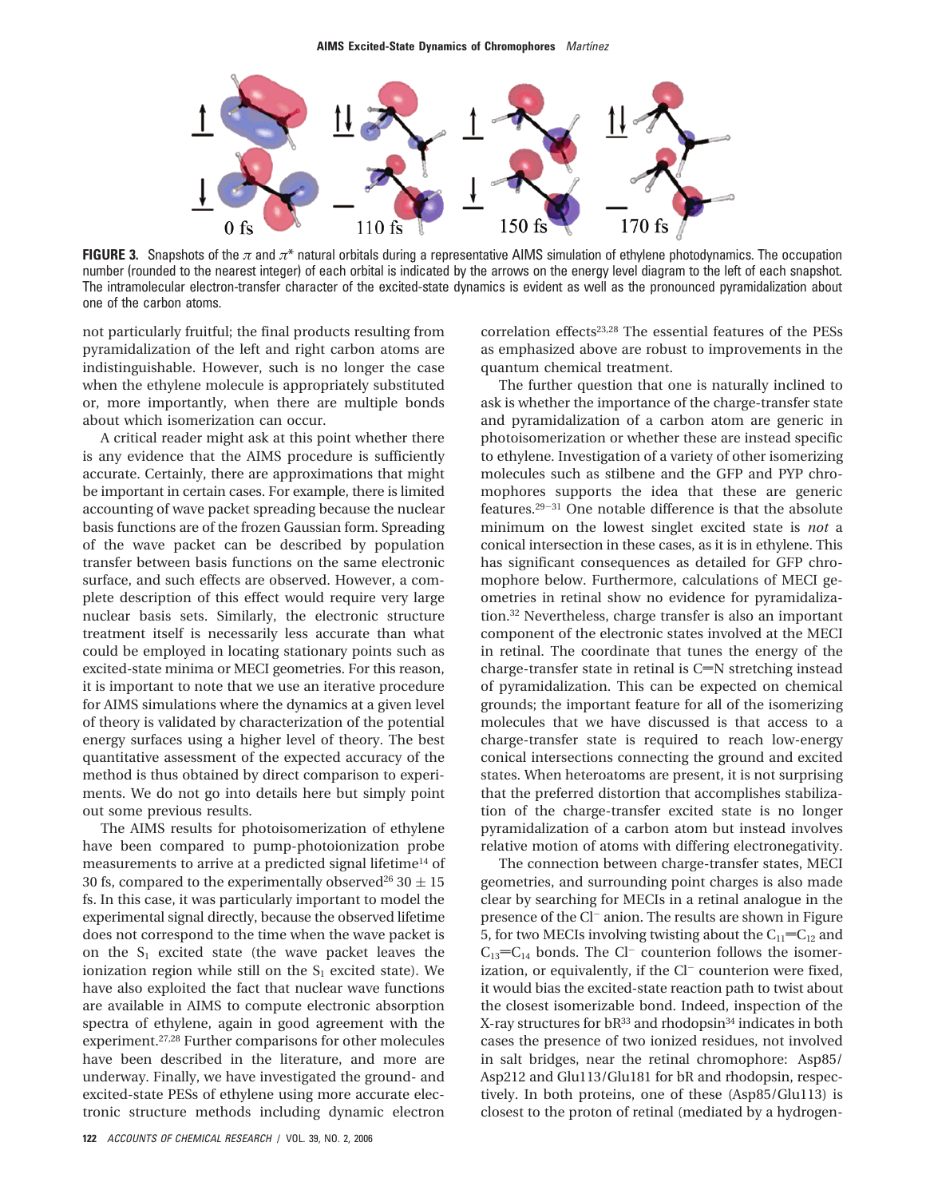

**FIGURE 3.** Snapshots of the *π* and *π*\* natural orbitals during a representative AIMS simulation of ethylene photodynamics. The occupation number (rounded to the nearest integer) of each orbital is indicated by the arrows on the energy level diagram to the left of each snapshot. The intramolecular electron-transfer character of the excited-state dynamics is evident as well as the pronounced pyramidalization about one of the carbon atoms.

not particularly fruitful; the final products resulting from pyramidalization of the left and right carbon atoms are indistinguishable. However, such is no longer the case when the ethylene molecule is appropriately substituted or, more importantly, when there are multiple bonds about which isomerization can occur.

A critical reader might ask at this point whether there is any evidence that the AIMS procedure is sufficiently accurate. Certainly, there are approximations that might be important in certain cases. For example, there is limited accounting of wave packet spreading because the nuclear basis functions are of the frozen Gaussian form. Spreading of the wave packet can be described by population transfer between basis functions on the same electronic surface, and such effects are observed. However, a complete description of this effect would require very large nuclear basis sets. Similarly, the electronic structure treatment itself is necessarily less accurate than what could be employed in locating stationary points such as excited-state minima or MECI geometries. For this reason, it is important to note that we use an iterative procedure for AIMS simulations where the dynamics at a given level of theory is validated by characterization of the potential energy surfaces using a higher level of theory. The best quantitative assessment of the expected accuracy of the method is thus obtained by direct comparison to experiments. We do not go into details here but simply point out some previous results.

The AIMS results for photoisomerization of ethylene have been compared to pump-photoionization probe measurements to arrive at a predicted signal lifetime<sup>14</sup> of 30 fs, compared to the experimentally observed<sup>26</sup> 30  $\pm$  15 fs. In this case, it was particularly important to model the experimental signal directly, because the observed lifetime does not correspond to the time when the wave packet is on the  $S_1$  excited state (the wave packet leaves the ionization region while still on the  $S_1$  excited state). We have also exploited the fact that nuclear wave functions are available in AIMS to compute electronic absorption spectra of ethylene, again in good agreement with the experiment.27,28 Further comparisons for other molecules have been described in the literature, and more are underway. Finally, we have investigated the ground- and excited-state PESs of ethylene using more accurate electronic structure methods including dynamic electron

correlation effects<sup>23,28</sup> The essential features of the PESs as emphasized above are robust to improvements in the quantum chemical treatment.

The further question that one is naturally inclined to ask is whether the importance of the charge-transfer state and pyramidalization of a carbon atom are generic in photoisomerization or whether these are instead specific to ethylene. Investigation of a variety of other isomerizing molecules such as stilbene and the GFP and PYP chromophores supports the idea that these are generic features.29-<sup>31</sup> One notable difference is that the absolute minimum on the lowest singlet excited state is *not* a conical intersection in these cases, as it is in ethylene. This has significant consequences as detailed for GFP chromophore below. Furthermore, calculations of MECI geometries in retinal show no evidence for pyramidalization.32 Nevertheless, charge transfer is also an important component of the electronic states involved at the MECI in retinal. The coordinate that tunes the energy of the charge-transfer state in retinal is  $C=N$  stretching instead of pyramidalization. This can be expected on chemical grounds; the important feature for all of the isomerizing molecules that we have discussed is that access to a charge-transfer state is required to reach low-energy conical intersections connecting the ground and excited states. When heteroatoms are present, it is not surprising that the preferred distortion that accomplishes stabilization of the charge-transfer excited state is no longer pyramidalization of a carbon atom but instead involves relative motion of atoms with differing electronegativity.

The connection between charge-transfer states, MECI geometries, and surrounding point charges is also made clear by searching for MECIs in a retinal analogue in the presence of the Cl<sup>-</sup> anion. The results are shown in Figure 5, for two MECIs involving twisting about the  $C_{11} = C_{12}$  and  $C_{13}$ = $C_{14}$  bonds. The Cl<sup>-</sup> counterion follows the isomerization, or equivalently, if the Cl<sup>-</sup> counterion were fixed, it would bias the excited-state reaction path to twist about the closest isomerizable bond. Indeed, inspection of the X-ray structures for  $bR^{33}$  and rhodopsin<sup>34</sup> indicates in both cases the presence of two ionized residues, not involved in salt bridges, near the retinal chromophore: Asp85/ Asp212 and Glu113/Glu181 for bR and rhodopsin, respectively. In both proteins, one of these (Asp85/Glu113) is closest to the proton of retinal (mediated by a hydrogen-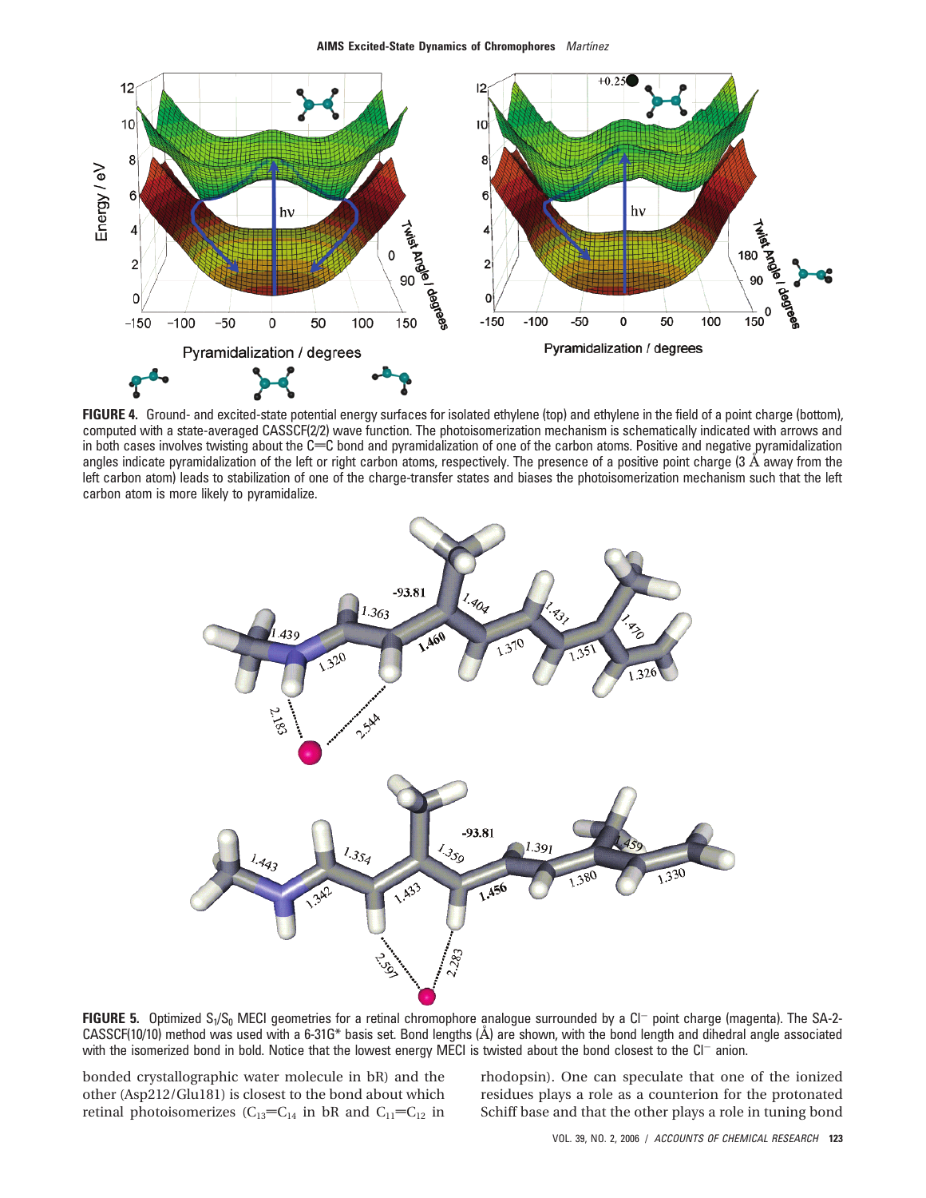

**FIGURE 4.** Ground- and excited-state potential energy surfaces for isolated ethylene (top) and ethylene in the field of a point charge (bottom), computed with a state-averaged CASSCF(2/2) wave function. The photoisomerization mechanism is schematically indicated with arrows and in both cases involves twisting about the  $C=C$  bond and pyramidalization of one of the carbon atoms. Positive and negative pyramidalization angles indicate pyramidalization of the left or right carbon atoms, respectively. The presence of a positive point charge (3 Å away from the left carbon atom) leads to stabilization of one of the charge-transfer states and biases the photoisomerization mechanism such that the left carbon atom is more likely to pyramidalize.



**FIGURE 5.** Optimized S<sub>1</sub>/S<sub>0</sub> MECI geometries for a retinal chromophore analogue surrounded by a Cl<sup>-</sup> point charge (magenta). The SA-2-CASSCF(10/10) method was used with a 6-31G\* basis set. Bond lengths (Å) are shown, with the bond length and dihedral angle associated with the isomerized bond in bold. Notice that the lowest energy MECI is twisted about the bond closest to the  $Cl^-$  anion.

bonded crystallographic water molecule in bR) and the other (Asp212/Glu181) is closest to the bond about which retinal photoisomerizes  $(C_{13}=C_{14}$  in bR and  $C_{11}=C_{12}$  in rhodopsin). One can speculate that one of the ionized residues plays a role as a counterion for the protonated Schiff base and that the other plays a role in tuning bond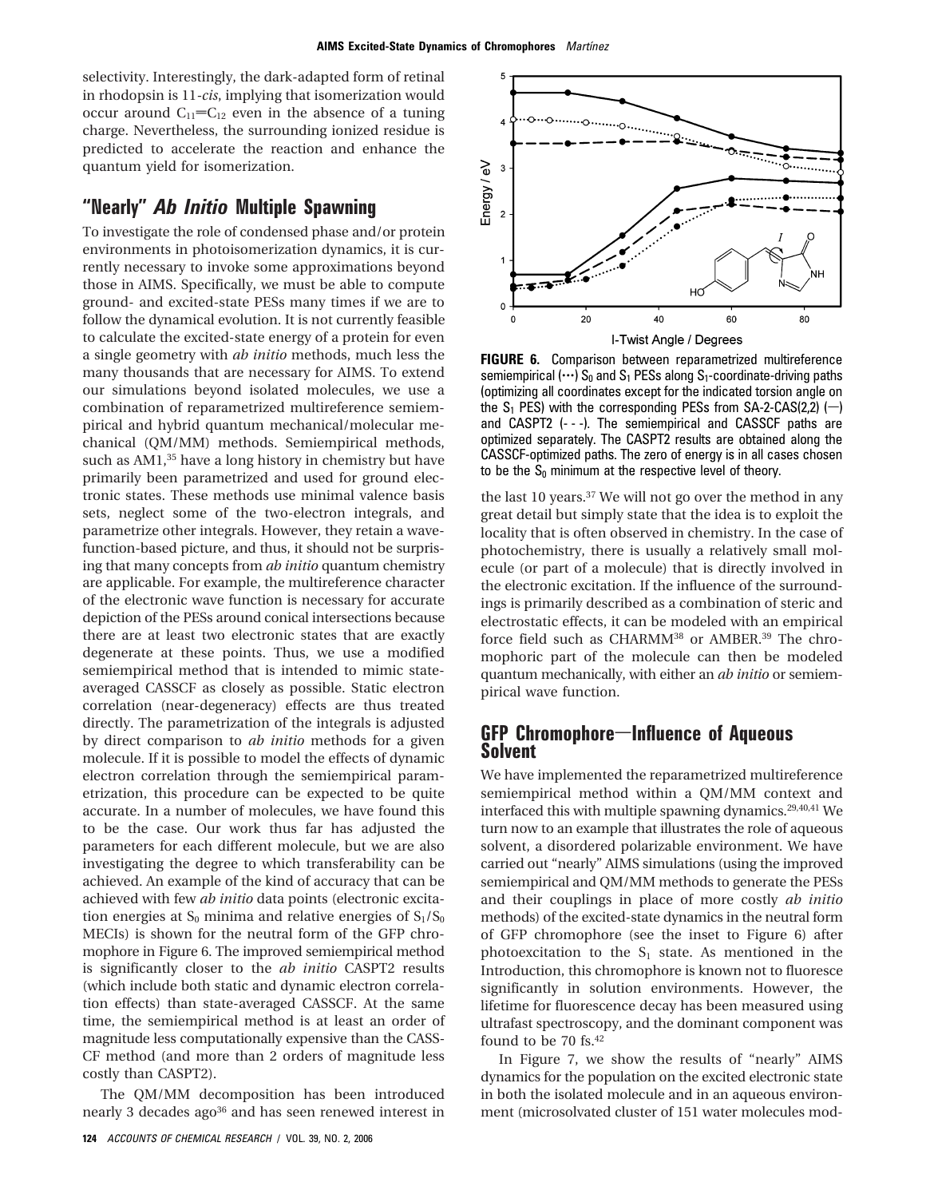selectivity. Interestingly, the dark-adapted form of retinal in rhodopsin is 11*-cis*, implying that isomerization would occur around  $C_{11} = C_{12}$  even in the absence of a tuning charge. Nevertheless, the surrounding ionized residue is predicted to accelerate the reaction and enhance the quantum yield for isomerization.

### **"Nearly"** *Ab Initio* **Multiple Spawning**

To investigate the role of condensed phase and/or protein environments in photoisomerization dynamics, it is currently necessary to invoke some approximations beyond those in AIMS. Specifically, we must be able to compute ground- and excited-state PESs many times if we are to follow the dynamical evolution. It is not currently feasible to calculate the excited-state energy of a protein for even a single geometry with *ab initio* methods, much less the many thousands that are necessary for AIMS. To extend our simulations beyond isolated molecules, we use a combination of reparametrized multireference semiempirical and hybrid quantum mechanical/molecular mechanical (QM/MM) methods. Semiempirical methods, such as  $AM1<sup>35</sup>$  have a long history in chemistry but have primarily been parametrized and used for ground electronic states. These methods use minimal valence basis sets, neglect some of the two-electron integrals, and parametrize other integrals. However, they retain a wavefunction-based picture, and thus, it should not be surprising that many concepts from *ab initio* quantum chemistry are applicable. For example, the multireference character of the electronic wave function is necessary for accurate depiction of the PESs around conical intersections because there are at least two electronic states that are exactly degenerate at these points. Thus, we use a modified semiempirical method that is intended to mimic stateaveraged CASSCF as closely as possible. Static electron correlation (near-degeneracy) effects are thus treated directly. The parametrization of the integrals is adjusted by direct comparison to *ab initio* methods for a given molecule. If it is possible to model the effects of dynamic electron correlation through the semiempirical parametrization, this procedure can be expected to be quite accurate. In a number of molecules, we have found this to be the case. Our work thus far has adjusted the parameters for each different molecule, but we are also investigating the degree to which transferability can be achieved. An example of the kind of accuracy that can be achieved with few *ab initio* data points (electronic excitation energies at  $S_0$  minima and relative energies of  $S_1/S_0$ MECIs) is shown for the neutral form of the GFP chromophore in Figure 6. The improved semiempirical method is significantly closer to the *ab initio* CASPT2 results (which include both static and dynamic electron correlation effects) than state-averaged CASSCF. At the same time, the semiempirical method is at least an order of magnitude less computationally expensive than the CASS-CF method (and more than 2 orders of magnitude less costly than CASPT2).

The QM/MM decomposition has been introduced nearly 3 decades ago<sup>36</sup> and has seen renewed interest in



**FIGURE 6.** Comparison between reparametrized multireference semiempirical  $(\cdots)$  S<sub>0</sub> and S<sub>1</sub> PESs along S<sub>1</sub>-coordinate-driving paths (optimizing all coordinates except for the indicated torsion angle on the  $S_1$  PES) with the corresponding PESs from SA-2-CAS(2,2) (-) and CASPT2 (- - -). The semiempirical and CASSCF paths are optimized separately. The CASPT2 results are obtained along the CASSCF-optimized paths. The zero of energy is in all cases chosen to be the  $S_0$  minimum at the respective level of theory.

the last 10 years.<sup>37</sup> We will not go over the method in any great detail but simply state that the idea is to exploit the locality that is often observed in chemistry. In the case of photochemistry, there is usually a relatively small molecule (or part of a molecule) that is directly involved in the electronic excitation. If the influence of the surroundings is primarily described as a combination of steric and electrostatic effects, it can be modeled with an empirical force field such as CHARMM<sup>38</sup> or AMBER.<sup>39</sup> The chromophoric part of the molecule can then be modeled quantum mechanically, with either an *ab initio* or semiempirical wave function.

# **GFP Chromophore**s**Influence of Aqueous Solvent**

We have implemented the reparametrized multireference semiempirical method within a QM/MM context and interfaced this with multiple spawning dynamics.<sup>29,40,41</sup> We turn now to an example that illustrates the role of aqueous solvent, a disordered polarizable environment. We have carried out "nearly" AIMS simulations (using the improved semiempirical and QM/MM methods to generate the PESs and their couplings in place of more costly *ab initio* methods) of the excited-state dynamics in the neutral form of GFP chromophore (see the inset to Figure 6) after photoexcitation to the  $S_1$  state. As mentioned in the Introduction, this chromophore is known not to fluoresce significantly in solution environments. However, the lifetime for fluorescence decay has been measured using ultrafast spectroscopy, and the dominant component was found to be 70 fs.<sup>42</sup>

In Figure 7, we show the results of "nearly" AIMS dynamics for the population on the excited electronic state in both the isolated molecule and in an aqueous environment (microsolvated cluster of 151 water molecules mod-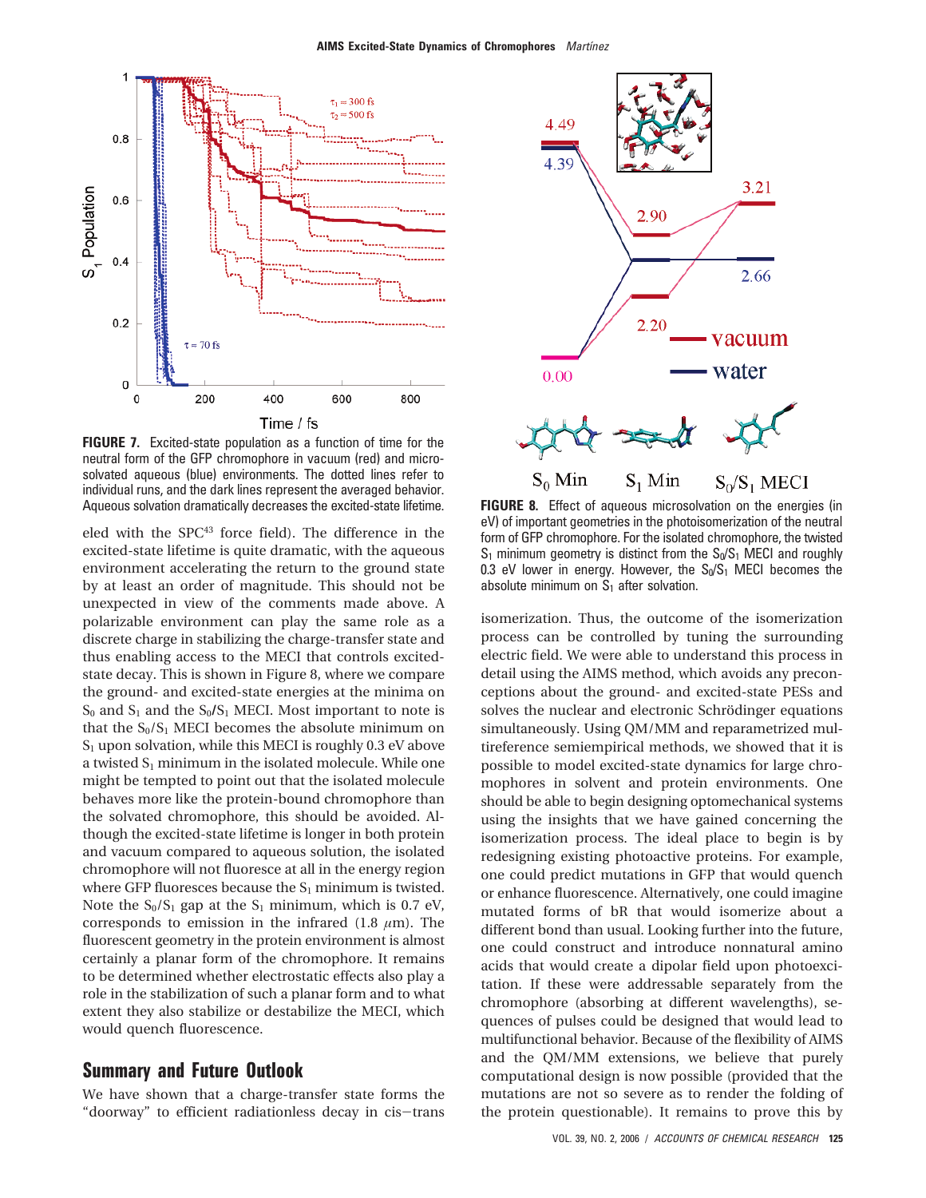

**FIGURE 7.** Excited-state population as a function of time for the neutral form of the GFP chromophore in vacuum (red) and microsolvated aqueous (blue) environments. The dotted lines refer to individual runs, and the dark lines represent the averaged behavior.

eled with the SPC43 force field). The difference in the excited-state lifetime is quite dramatic, with the aqueous environment accelerating the return to the ground state by at least an order of magnitude. This should not be unexpected in view of the comments made above. A polarizable environment can play the same role as a discrete charge in stabilizing the charge-transfer state and thus enabling access to the MECI that controls excitedstate decay. This is shown in Figure 8, where we compare the ground- and excited-state energies at the minima on  $S_0$  and  $S_1$  and the  $S_0/S_1$  MECI. Most important to note is that the  $S_0/S_1$  MECI becomes the absolute minimum on  $S_1$  upon solvation, while this MECI is roughly 0.3 eV above a twisted  $S_1$  minimum in the isolated molecule. While one might be tempted to point out that the isolated molecule behaves more like the protein-bound chromophore than the solvated chromophore, this should be avoided. Although the excited-state lifetime is longer in both protein and vacuum compared to aqueous solution, the isolated chromophore will not fluoresce at all in the energy region where GFP fluoresces because the  $S_1$  minimum is twisted. Note the  $S_0/S_1$  gap at the  $S_1$  minimum, which is 0.7 eV, corresponds to emission in the infrared  $(1.8 \mu m)$ . The fluorescent geometry in the protein environment is almost certainly a planar form of the chromophore. It remains to be determined whether electrostatic effects also play a role in the stabilization of such a planar form and to what extent they also stabilize or destabilize the MECI, which would quench fluorescence.

### **Summary and Future Outlook**

We have shown that a charge-transfer state forms the "doorway" to efficient radiationless decay in cis-trans



Aqueous solvation dramatically decreases the excited-state lifetime. **FIGURE 8.** Effect of aqueous microsolvation on the energies (in eV) of important geometries in the photoisomerization of the neutral form of GFP chromophore. For the isolated chromophore, the twisted  $S_1$  minimum geometry is distinct from the  $S_0/S_1$  MECI and roughly 0.3 eV lower in energy. However, the  $S_0/S_1$  MECI becomes the absolute minimum on  $S_1$  after solvation.

isomerization. Thus, the outcome of the isomerization process can be controlled by tuning the surrounding electric field. We were able to understand this process in detail using the AIMS method, which avoids any preconceptions about the ground- and excited-state PESs and solves the nuclear and electronic Schrödinger equations simultaneously. Using QM/MM and reparametrized multireference semiempirical methods, we showed that it is possible to model excited-state dynamics for large chromophores in solvent and protein environments. One should be able to begin designing optomechanical systems using the insights that we have gained concerning the isomerization process. The ideal place to begin is by redesigning existing photoactive proteins. For example, one could predict mutations in GFP that would quench or enhance fluorescence. Alternatively, one could imagine mutated forms of bR that would isomerize about a different bond than usual. Looking further into the future, one could construct and introduce nonnatural amino acids that would create a dipolar field upon photoexcitation. If these were addressable separately from the chromophore (absorbing at different wavelengths), sequences of pulses could be designed that would lead to multifunctional behavior. Because of the flexibility of AIMS and the QM/MM extensions, we believe that purely computational design is now possible (provided that the mutations are not so severe as to render the folding of the protein questionable). It remains to prove this by